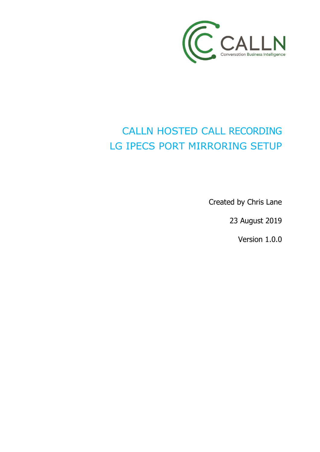

# CALLN HOSTED CALL RECORDING LG IPECS PORT MIRRORING SETUP

Created by Chris Lane

23 August 2019

Version 1.0.0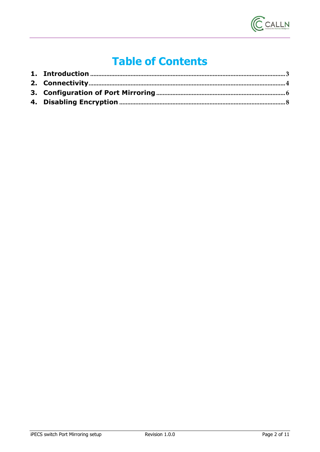

# **Table of Contents**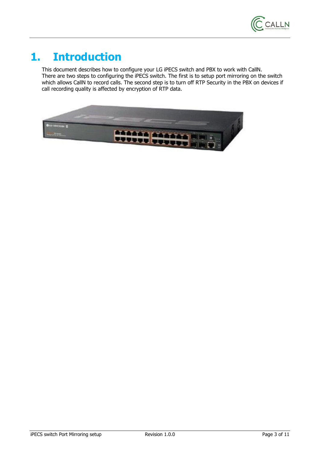

#### <span id="page-2-0"></span>**1. Introduction**

This document describes how to configure your LG iPECS switch and PBX to work with CallN. There are two steps to configuring the iPECS switch. The first is to setup port mirroring on the switch which allows CallN to record calls. The second step is to turn off RTP Security in the PBX on devices if call recording quality is affected by encryption of RTP data.

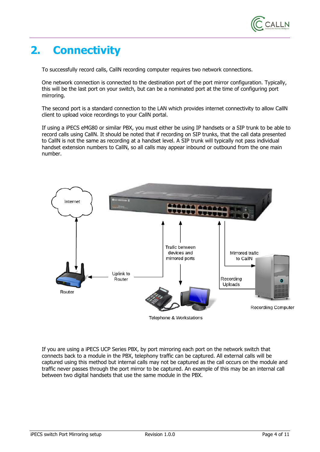

### <span id="page-3-0"></span>**2. Connectivity**

To successfully record calls, CallN recording computer requires two network connections.

One network connection is connected to the destination port of the port mirror configuration. Typically, this will be the last port on your switch, but can be a nominated port at the time of configuring port mirroring.

The second port is a standard connection to the LAN which provides internet connectivity to allow CallN client to upload voice recordings to your CallN portal.

If using a iPECS eMG80 or similar PBX, you must either be using IP handsets or a SIP trunk to be able to record calls using CallN. It should be noted that if recording on SIP trunks, that the call data presented to CallN is not the same as recording at a handset level. A SIP trunk will typically not pass individual handset extension numbers to CallN, so all calls may appear inbound or outbound from the one main number.



Telephone & Workstations

If you are using a iPECS UCP Series PBX, by port mirroring each port on the network switch that connects back to a module in the PBX, telephony traffic can be captured. All external calls will be captured using this method but internal calls may not be captured as the call occurs on the module and traffic never passes through the port mirror to be captured. An example of this may be an internal call between two digital handsets that use the same module in the PBX.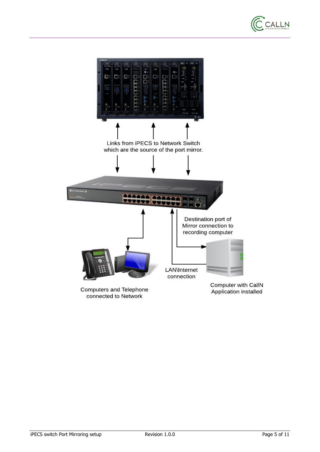

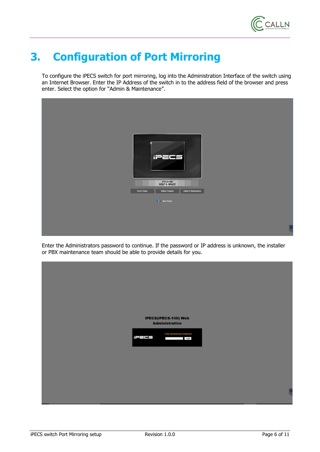

# <span id="page-5-0"></span>**3. Configuration of Port Mirroring**

To configure the iPECS switch for port mirroring, log into the Administration Interface of the switch using an Internet Browser. Enter the IP Address of the switch in to the address field of the browser and press enter. Select the option for "Admin & Maintenance".



Enter the Administrators password to continue. If the password or IP address is unknown, the installer or PBX maintenance team should be able to provide details for you.

| iPECS(iPECS-100) Web                                                               |  |
|------------------------------------------------------------------------------------|--|
| <b>Administration</b>                                                              |  |
| <b>Enter Administration Password</b><br>iPECS<br>Login<br><b>Contract Contract</b> |  |
|                                                                                    |  |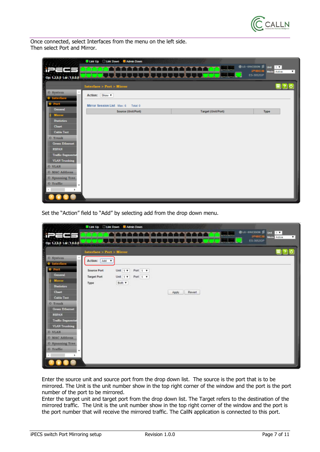

Once connected, select Interfaces from the menu on the left side. Then select Port and Mirror.

|                                          | Link Up Link Down Admin Down       |                           |                                                                       |
|------------------------------------------|------------------------------------|---------------------------|-----------------------------------------------------------------------|
|                                          |                                    |                           | <b>OLG-ERICSSON</b> Sunt 1<br>PECS<br><b>Mode</b> Active<br>$\bullet$ |
| Op: 1.2.6.0 1.dr: 1.0.0.0                |                                    |                           | ES-3052GP                                                             |
|                                          | Interface > Port > Mirror          |                           | ■?○                                                                   |
| O System<br><b>0</b> Interface           | Action: Show                       |                           |                                                                       |
| <b>O</b> Port                            | Mirror Session List Max: 6 Total 0 |                           |                                                                       |
| <b>General</b>                           | Source (Unit/Port)                 | <b>Target (Unit/Port)</b> | Type                                                                  |
| <b>Mirror</b><br><b>Statistics</b>       |                                    |                           |                                                                       |
| Chart                                    |                                    |                           |                                                                       |
| <b>Cable Test</b>                        |                                    |                           |                                                                       |
| O Trunk                                  |                                    |                           |                                                                       |
| <b>Green Ethernet</b>                    |                                    |                           |                                                                       |
| <b>RSPAN</b><br><b>Traffic Segmental</b> |                                    |                           |                                                                       |
| <b>VLAN Trunking</b>                     |                                    |                           |                                                                       |
| O VLAN                                   |                                    |                           |                                                                       |
| <b>O MAC Address</b>                     |                                    |                           |                                                                       |
| <b>O</b> Spanning Tree                   |                                    |                           |                                                                       |
| O Traffic<br>$\mathbf{r}$                |                                    |                           |                                                                       |
|                                          |                                    |                           |                                                                       |
|                                          |                                    |                           |                                                                       |

Set the "Action" field to "Add" by selecting add from the drop down menu.

|                                                                                                                                                                                                                            |                                                  | Link Up Link Down M Admin Down                                                    |                 |                                                                                       |
|----------------------------------------------------------------------------------------------------------------------------------------------------------------------------------------------------------------------------|--------------------------------------------------|-----------------------------------------------------------------------------------|-----------------|---------------------------------------------------------------------------------------|
| ╾                                                                                                                                                                                                                          |                                                  |                                                                                   |                 | <b>OLD-ERICSSON</b> & Und<br>1.7<br><b>IPHCS</b><br>Mode Active<br>$\pmb{\mathrm{v}}$ |
| Op: 1.2.6.0 Ldr: 1.0.0.0                                                                                                                                                                                                   |                                                  |                                                                                   |                 | <b>ES-3052GP</b>                                                                      |
|                                                                                                                                                                                                                            | Interface > Port > Mirror                        |                                                                                   |                 | $\epsilon$                                                                            |
| O System                                                                                                                                                                                                                   | Action: Add v                                    |                                                                                   |                 |                                                                                       |
| <b>O</b> Interface<br><b>O</b> Port<br>General<br>Mirror<br><b>Statistics</b><br><b>Chart</b><br><b>Cable Test</b><br>O Trunk<br><b>Green Ethernet</b><br><b>RSPAN</b><br><b>Traffic Segmental</b><br><b>VLAN Trunking</b> | <b>Source Port</b><br><b>Target Port</b><br>Type | Unit $1 -$<br>Port 1 v<br>Port $1 - r$<br>Unit $1$ $\blacktriangledown$<br>Both v | Revert<br>Apply |                                                                                       |
| <b>O VLAN</b><br><b>O MAC Address</b>                                                                                                                                                                                      |                                                  |                                                                                   |                 |                                                                                       |
| <b>O</b> Spanning Tree                                                                                                                                                                                                     |                                                  |                                                                                   |                 |                                                                                       |
| O Traffic<br>٠<br>٠                                                                                                                                                                                                        |                                                  |                                                                                   |                 |                                                                                       |
|                                                                                                                                                                                                                            |                                                  |                                                                                   |                 |                                                                                       |

Enter the source unit and source port from the drop down list. The source is the port that is to be mirrored. The Unit is the unit number show in the top right corner of the window and the port is the port number of the port to be mirrored.

Enter the target unit and target port from the drop down list. The Target refers to the destination of the mirrored traffic. The Unit is the unit number show in the top right corner of the window and the port is the port number that will receive the mirrored traffic. The CallN application is connected to this port.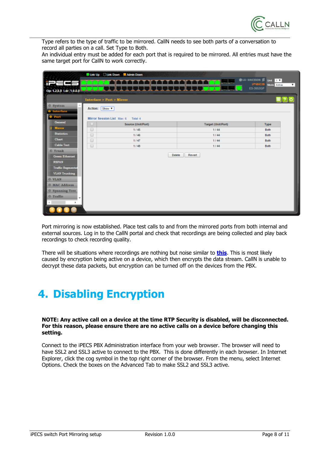

Type refers to the type of traffic to be mirrored. CallN needs to see both parts of a conversation to record all parties on a call. Set Type to Both.

An individual entry must be added for each port that is required to be mirrored. All entries must have the same target port for CallN to work correctly.

|                          | Link Up Link Down Admin Down                                             |                        |                           |                                                                               |  |  |  |  |
|--------------------------|--------------------------------------------------------------------------|------------------------|---------------------------|-------------------------------------------------------------------------------|--|--|--|--|
|                          |                                                                          | المستقرق فرقات القرقرة |                           | <b>OLG-ERICSSON</b> Sunt 1<br><b>IPECS</b><br><b>Mode</b> Active<br>$\bullet$ |  |  |  |  |
| Op: 1.2.6.0 Ldr: 1.0.0.0 |                                                                          | 11111                  |                           | ES-3052GP                                                                     |  |  |  |  |
|                          | <b>Interface &gt; Port &gt; Mirror</b>                                   |                        |                           | 패?]이                                                                          |  |  |  |  |
| O System                 |                                                                          |                        |                           |                                                                               |  |  |  |  |
| <b>Interface</b>         | Action: Show v                                                           |                        |                           |                                                                               |  |  |  |  |
| Port                     | Mirror Session List Max: 6<br>Total: 4                                   |                        |                           |                                                                               |  |  |  |  |
| <b>General</b>           | Source (Unit/Port)<br>u                                                  |                        | <b>Target (Unit/Port)</b> | <b>Type</b>                                                                   |  |  |  |  |
| Mirror                   | 1/45<br>▫                                                                |                        | 1144                      | Both                                                                          |  |  |  |  |
| <b>Statistics</b>        | $\qquad \qquad \qquad \qquad \qquad \qquad \qquad \qquad \qquad$<br>1/46 |                        | 1144                      | <b>Both</b>                                                                   |  |  |  |  |
| <b>Chart</b>             | $\qquad \qquad \qquad \qquad \qquad \qquad \qquad \qquad \qquad$<br>1147 |                        | 1/44                      | Both                                                                          |  |  |  |  |
| <b>Cable Test</b>        | $\qquad \qquad \qquad \qquad \qquad \qquad$<br>1/48                      |                        | 1/44                      | Both                                                                          |  |  |  |  |
| <b>O</b> Trunk           |                                                                          |                        |                           |                                                                               |  |  |  |  |
| <b>Green Ethernet</b>    |                                                                          | Delete                 | Revert                    |                                                                               |  |  |  |  |
| <b>RSPAN</b>             |                                                                          |                        |                           |                                                                               |  |  |  |  |
| <b>Traffic Segmental</b> |                                                                          |                        |                           |                                                                               |  |  |  |  |
| <b>VLAN Trunking</b>     |                                                                          |                        |                           |                                                                               |  |  |  |  |
| O VLAN                   |                                                                          |                        |                           |                                                                               |  |  |  |  |
| <b>O MAC Address</b>     |                                                                          |                        |                           |                                                                               |  |  |  |  |
| <b>O</b> Spanning Tree   |                                                                          |                        |                           |                                                                               |  |  |  |  |
| O Traffic                |                                                                          |                        |                           |                                                                               |  |  |  |  |
|                          |                                                                          |                        |                           |                                                                               |  |  |  |  |
|                          |                                                                          |                        |                           |                                                                               |  |  |  |  |
|                          |                                                                          |                        |                           |                                                                               |  |  |  |  |

Port mirroring is now established. Place test calls to and from the mirrored ports from both internal and external sources. Log in to the CallN portal and check that recordings are being collected and play back recordings to check recording quality.

There will be situations where recordings are nothing but noise similar to **[this](https://download.calln.com/files/ipecs_sample_rtp_security_on.mp3)**. This is most likely caused by encryption being active on a device, which then encrypts the data stream. CallN is unable to decrypt these data packets, but encryption can be turned off on the devices from the PBX.

# <span id="page-7-0"></span>**4. Disabling Encryption**

**NOTE: Any active call on a device at the time RTP Security is disabled, will be disconnected. For this reason, please ensure there are no active calls on a device before changing this setting.**

Connect to the iPECS PBX Administration interface from your web browser. The browser will need to have SSL2 and SSL3 active to connect to the PBX. This is done differently in each browser. In Internet Explorer, click the cog symbol in the top right corner of the browser. From the menu, select Internet Options. Check the boxes on the Advanced Tab to make SSL2 and SSL3 active.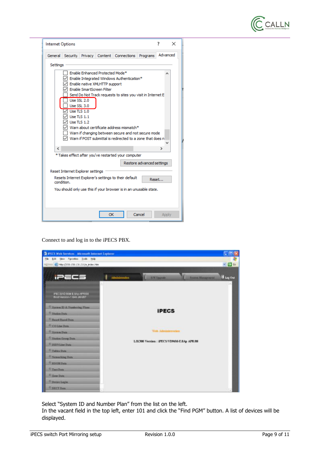

| Internet Options |                                                            |             |                                                                                               |                                                                                                                                                                                                                                     |                           | 7        | × |
|------------------|------------------------------------------------------------|-------------|-----------------------------------------------------------------------------------------------|-------------------------------------------------------------------------------------------------------------------------------------------------------------------------------------------------------------------------------------|---------------------------|----------|---|
|                  |                                                            |             |                                                                                               | General Security Privacy Content Connections                                                                                                                                                                                        | Programs                  | Advanced |   |
| Settings         |                                                            |             | Enable Enhanced Protected Mode*<br>Enable native XMLHTTP support<br>Enable SmartScreen Filter | Enable Integrated Windows Authentication*                                                                                                                                                                                           |                           |          |   |
|                  | Use SSL 3.0<br>Use $TLS$ 1.0<br>Use TLS 1.1<br>Use TLS 1.2 | Use SSL 2.0 |                                                                                               | Send Do Not Track requests to sites you visit in Internet E<br>Warn about certificate address mismatch*<br>Warn if changing between secure and not secure mode<br>$\vee$ Warn if POST submittal is redirected to a zone that does n |                           |          |   |
| €                |                                                            |             |                                                                                               | * Takes effect after you've restarted your computer                                                                                                                                                                                 |                           | ъ        |   |
|                  |                                                            |             |                                                                                               |                                                                                                                                                                                                                                     | Restore advanced settings |          |   |
|                  | Reset Internet Explorer settings<br>condition.             |             |                                                                                               | Resets Internet Explorer's settings to their default<br>You should only use this if your browser is in an unusable state.                                                                                                           |                           | Reset    |   |
|                  |                                                            |             |                                                                                               |                                                                                                                                                                                                                                     |                           |          |   |

Connect to and log in to the iPECS PBX.



Select "System ID and Number Plan" from the list on the left.

In the vacant field in the top left, enter 101 and click the "Find PGM" button. A list of devices will be displayed.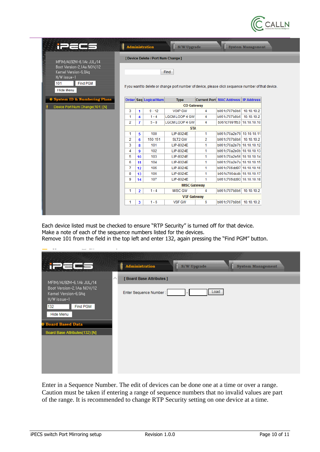

| in Effect                                                                                                       |            |                | Administration                      | <b>S/W Upgrade</b>                                                                                          |    |                                            | <b>System Management</b> |
|-----------------------------------------------------------------------------------------------------------------|------------|----------------|-------------------------------------|-------------------------------------------------------------------------------------------------------------|----|--------------------------------------------|--------------------------|
| MFIM/AU92M-6, 1Ak JUL/14                                                                                        |            |                | [ Device Delete / Port Num Change ] |                                                                                                             |    |                                            |                          |
| Boot Version-2, 1Aa NOV/12<br>Kernel Version-6,0Aq<br>H/W issue-1<br><b>Find PGM</b><br>101<br><b>Hide Menu</b> |            |                |                                     | Find<br>If you want to delete or change port number of device, please click sequence number of that device. |    |                                            |                          |
| <b>0 System ID &amp; Numbering Plans</b>                                                                        |            |                | <b>Order Seq Logical Num</b>        | <b>Type</b>                                                                                                 |    | <b>Current Port MAC Address IP Address</b> |                          |
| Device Port Num Change(101) [N]                                                                                 |            |                |                                     | <b>CO Gateway</b>                                                                                           |    |                                            |                          |
|                                                                                                                 | 3          | 1              | $9 - 12$                            | <b>VOIP GW</b>                                                                                              | 4  | b061c707b8b6 10.10.10.2                    |                          |
|                                                                                                                 | 1          | 4              | $1 - 4$                             | <b>LGCM LOOP 4 GW</b>                                                                                       | 4  | b061c707b8b6 10.10.10.2                    |                          |
|                                                                                                                 | 2          | $\overline{7}$ | $5 - 8$                             | <b>LGCM LOOP 4 GW</b>                                                                                       | 4  | b061c7091fb3 10.10.10.10                   |                          |
|                                                                                                                 | <b>STA</b> |                |                                     |                                                                                                             |    |                                            |                          |
|                                                                                                                 | 1          | 5              | 100                                 | LIP-8024E                                                                                                   | 1. | b061c70a2e79 10.10.10.11                   |                          |
|                                                                                                                 | 2          | 6              | 150 151                             | SLT2 GW                                                                                                     | 2  | b061c707b8b6 10.10.10.2                    |                          |
|                                                                                                                 | 3          | 8              | 101                                 | LIP-8024E                                                                                                   | 1. | b061c70a2e7b 10.10.10.12                   |                          |
|                                                                                                                 | 4          | 9              | 102                                 | LIP-8024E                                                                                                   | 1. | b061c70a2e0b 10.10.10.13                   |                          |
|                                                                                                                 | 5          | 10             | 103                                 | LIP-8024E                                                                                                   | 1. | b061c70a2e56 10.10.10.14                   |                          |
|                                                                                                                 | 6          | 11             | 104                                 | LIP-8024E                                                                                                   | 1  | b061c70a2e7a 10.10.10.15                   |                          |
|                                                                                                                 | 7          | 12             | 105                                 | LIP-8024E                                                                                                   | 1. | b061c706dd97 10.10.10.16                   |                          |
|                                                                                                                 | 8          | 13             | 106                                 | LIP-8024E                                                                                                   | 1  | b061c706dcdb 10.10.10.17                   |                          |
|                                                                                                                 | 9          | 14             | 107                                 | LIP-8024E                                                                                                   | 1  | b061c706dd93 10.10.10.18                   |                          |
|                                                                                                                 |            |                |                                     | <b>MISC Gateway</b>                                                                                         |    |                                            |                          |
|                                                                                                                 | 1          | $\overline{2}$ | $1 - 4$                             | <b>MISC GW</b>                                                                                              | 4  | b061c707b8b6 10.10.10.2                    |                          |
|                                                                                                                 |            |                |                                     | <b>VSF Gateway</b>                                                                                          |    |                                            |                          |
|                                                                                                                 | 1          | 3              | $1 - 6$                             | <b>VSF GW</b>                                                                                               | 6  | b061c707b8b6 10.10.10.2                    |                          |

Each device listed must be checked to ensure "RTP Security" is turned off for that device. Make a note of each of the sequence numbers listed for the devices. Remove 101 from the field in the top left and enter 132, again pressing the "Find PGM" button.

| $=$ $=$                                                           | Administration                                | S/W Upgrade | <b>System Management</b> |
|-------------------------------------------------------------------|-----------------------------------------------|-------------|--------------------------|
| MFIM/AU92M-6, 1Ak JUL/14                                          | $\curvearrowright$<br>[Board Base Attributes] |             |                          |
| Boot Version-2, 1Aa NOV/12<br>Kernel Version-6,0Aq<br>H/W issue-1 | Enter Sequence Number:                        | Load        |                          |
| Find PGM<br>132                                                   |                                               |             |                          |
| Hide Menu                                                         |                                               |             |                          |
| <b>D</b> Board Based Data                                         |                                               |             |                          |
| Board Base Attributes(132) [N]                                    |                                               |             |                          |
|                                                                   |                                               |             |                          |
|                                                                   |                                               |             |                          |
|                                                                   |                                               |             |                          |
|                                                                   |                                               |             |                          |
|                                                                   |                                               |             |                          |

Enter in a Sequence Number. The edit of devices can be done one at a time or over a range. Caution must be taken if entering a range of sequence numbers that no invalid values are part of the range. It is recommended to change RTP Security setting on one device at a time.